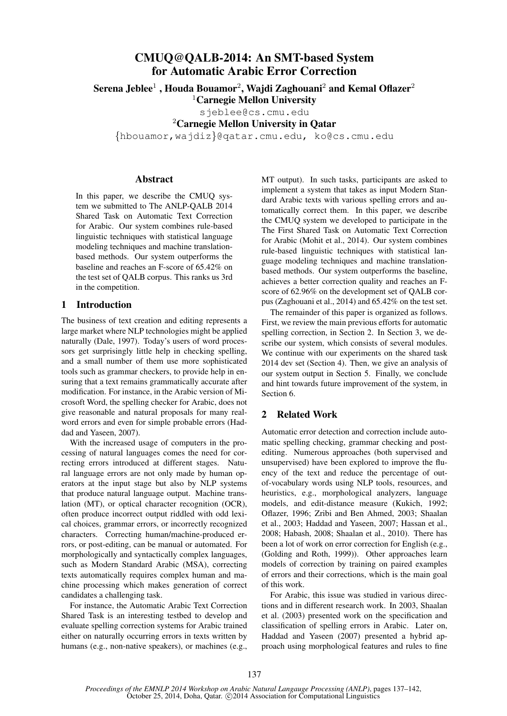# CMUQ@QALB-2014: An SMT-based System for Automatic Arabic Error Correction

Serena Jeblee $^1$  , Houda Bouamor $^2$ , Wajdi Zaghouani $^2$  and Kemal Oflazer $^2$ 

 $1$ Carnegie Mellon University

sjeblee@cs.cmu.edu

<sup>2</sup>Carnegie Mellon University in Qatar

{hbouamor,wajdiz}@qatar.cmu.edu, ko@cs.cmu.edu

### Abstract

In this paper, we describe the CMUQ system we submitted to The ANLP-QALB 2014 Shared Task on Automatic Text Correction for Arabic. Our system combines rule-based linguistic techniques with statistical language modeling techniques and machine translationbased methods. Our system outperforms the baseline and reaches an F-score of 65.42% on the test set of QALB corpus. This ranks us 3rd in the competition.

## 1 Introduction

The business of text creation and editing represents a large market where NLP technologies might be applied naturally (Dale, 1997). Today's users of word processors get surprisingly little help in checking spelling, and a small number of them use more sophisticated tools such as grammar checkers, to provide help in ensuring that a text remains grammatically accurate after modification. For instance, in the Arabic version of Microsoft Word, the spelling checker for Arabic, does not give reasonable and natural proposals for many realword errors and even for simple probable errors (Haddad and Yaseen, 2007).

With the increased usage of computers in the processing of natural languages comes the need for correcting errors introduced at different stages. Natural language errors are not only made by human operators at the input stage but also by NLP systems that produce natural language output. Machine translation (MT), or optical character recognition (OCR), often produce incorrect output riddled with odd lexical choices, grammar errors, or incorrectly recognized characters. Correcting human/machine-produced errors, or post-editing, can be manual or automated. For morphologically and syntactically complex languages, such as Modern Standard Arabic (MSA), correcting texts automatically requires complex human and machine processing which makes generation of correct candidates a challenging task.

For instance, the Automatic Arabic Text Correction Shared Task is an interesting testbed to develop and evaluate spelling correction systems for Arabic trained either on naturally occurring errors in texts written by humans (e.g., non-native speakers), or machines (e.g., MT output). In such tasks, participants are asked to implement a system that takes as input Modern Standard Arabic texts with various spelling errors and automatically correct them. In this paper, we describe the CMUQ system we developed to participate in the The First Shared Task on Automatic Text Correction for Arabic (Mohit et al., 2014). Our system combines rule-based linguistic techniques with statistical language modeling techniques and machine translationbased methods. Our system outperforms the baseline, achieves a better correction quality and reaches an Fscore of 62.96% on the development set of QALB corpus (Zaghouani et al., 2014) and 65.42% on the test set.

The remainder of this paper is organized as follows. First, we review the main previous efforts for automatic spelling correction, in Section 2. In Section 3, we describe our system, which consists of several modules. We continue with our experiments on the shared task 2014 dev set (Section 4). Then, we give an analysis of our system output in Section 5. Finally, we conclude and hint towards future improvement of the system, in Section 6.

## 2 Related Work

Automatic error detection and correction include automatic spelling checking, grammar checking and postediting. Numerous approaches (both supervised and unsupervised) have been explored to improve the fluency of the text and reduce the percentage of outof-vocabulary words using NLP tools, resources, and heuristics, e.g., morphological analyzers, language models, and edit-distance measure (Kukich, 1992; Oflazer, 1996; Zribi and Ben Ahmed, 2003; Shaalan et al., 2003; Haddad and Yaseen, 2007; Hassan et al., 2008; Habash, 2008; Shaalan et al., 2010). There has been a lot of work on error correction for English (e.g., (Golding and Roth, 1999)). Other approaches learn models of correction by training on paired examples of errors and their corrections, which is the main goal of this work.

For Arabic, this issue was studied in various directions and in different research work. In 2003, Shaalan et al. (2003) presented work on the specification and classification of spelling errors in Arabic. Later on, Haddad and Yaseen (2007) presented a hybrid approach using morphological features and rules to fine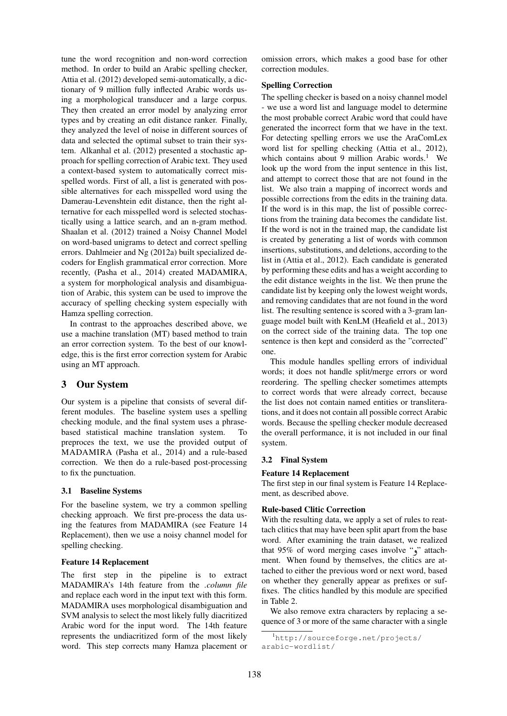tune the word recognition and non-word correction method. In order to build an Arabic spelling checker, Attia et al. (2012) developed semi-automatically, a dictionary of 9 million fully inflected Arabic words using a morphological transducer and a large corpus. They then created an error model by analyzing error types and by creating an edit distance ranker. Finally, they analyzed the level of noise in different sources of data and selected the optimal subset to train their system. Alkanhal et al. (2012) presented a stochastic approach for spelling correction of Arabic text. They used a context-based system to automatically correct misspelled words. First of all, a list is generated with possible alternatives for each misspelled word using the Damerau-Levenshtein edit distance, then the right alternative for each misspelled word is selected stochastically using a lattice search, and an n-gram method. Shaalan et al. (2012) trained a Noisy Channel Model on word-based unigrams to detect and correct spelling errors. Dahlmeier and Ng (2012a) built specialized decoders for English grammatical error correction. More recently, (Pasha et al., 2014) created MADAMIRA, a system for morphological analysis and disambiguation of Arabic, this system can be used to improve the accuracy of spelling checking system especially with Hamza spelling correction.

In contrast to the approaches described above, we use a machine translation (MT) based method to train an error correction system. To the best of our knowledge, this is the first error correction system for Arabic using an MT approach.

## 3 Our System

Our system is a pipeline that consists of several different modules. The baseline system uses a spelling checking module, and the final system uses a phrasebased statistical machine translation system. To preproces the text, we use the provided output of MADAMIRA (Pasha et al., 2014) and a rule-based correction. We then do a rule-based post-processing to fix the punctuation.

#### 3.1 Baseline Systems

For the baseline system, we try a common spelling checking approach. We first pre-process the data using the features from MADAMIRA (see Feature 14 Replacement), then we use a noisy channel model for spelling checking.

#### Feature 14 Replacement

The first step in the pipeline is to extract MADAMIRA's 14th feature from the *.column file* and replace each word in the input text with this form. MADAMIRA uses morphological disambiguation and SVM analysis to select the most likely fully diacritized Arabic word for the input word. The 14th feature represents the undiacritized form of the most likely word. This step corrects many Hamza placement or

omission errors, which makes a good base for other correction modules.

#### Spelling Correction

The spelling checker is based on a noisy channel model - we use a word list and language model to determine the most probable correct Arabic word that could have generated the incorrect form that we have in the text. For detecting spelling errors we use the AraComLex word list for spelling checking (Attia et al., 2012), which contains about 9 million Arabic words.<sup>1</sup> We look up the word from the input sentence in this list, and attempt to correct those that are not found in the list. We also train a mapping of incorrect words and possible corrections from the edits in the training data. If the word is in this map, the list of possible corrections from the training data becomes the candidate list. If the word is not in the trained map, the candidate list is created by generating a list of words with common insertions, substitutions, and deletions, according to the list in (Attia et al., 2012). Each candidate is generated by performing these edits and has a weight according to the edit distance weights in the list. We then prune the candidate list by keeping only the lowest weight words, and removing candidates that are not found in the word list. The resulting sentence is scored with a 3-gram language model built with KenLM (Heafield et al., 2013) on the correct side of the training data. The top one sentence is then kept and considerd as the "corrected" one.

This module handles spelling errors of individual words; it does not handle split/merge errors or word reordering. The spelling checker sometimes attempts to correct words that were already correct, because the list does not contain named entities or transliterations, and it does not contain all possible correct Arabic words. Because the spelling checker module decreased the overall performance, it is not included in our final system.

#### 3.2 Final System

#### Feature 14 Replacement

The first step in our final system is Feature 14 Replacement, as described above.

#### Rule-based Clitic Correction

With the resulting data, we apply a set of rules to reattach clitics that may have been split apart from the base word. After examining the train dataset, we realized that 95% of word merging cases involve " $\gamma$ " attachment. When found by themselves, the clitics are attached to either the previous word or next word, based on whether they generally appear as prefixes or suffixes. The clitics handled by this module are specified in Table 2.

We also remove extra characters by replacing a sequence of 3 or more of the same character with a single

<sup>1</sup>http://sourceforge.net/projects/ arabic-wordlist/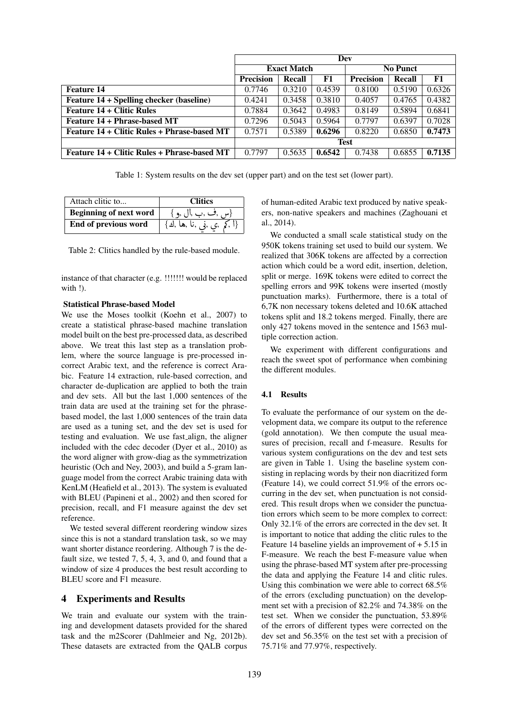|                                                 | Dev                |        |        |                  |        |        |
|-------------------------------------------------|--------------------|--------|--------|------------------|--------|--------|
|                                                 | <b>Exact Match</b> |        |        | <b>No Punct</b>  |        |        |
|                                                 | <b>Precision</b>   | Recall | F1     | <b>Precision</b> | Recall | F1     |
| <b>Feature 14</b>                               | 0.7746             | 0.3210 | 0.4539 | 0.8100           | 0.5190 | 0.6326 |
| <b>Feature 14 + Spelling checker (baseline)</b> | 0.4241             | 0.3458 | 0.3810 | 0.4057           | 0.4765 | 0.4382 |
| <b>Feature 14 + Clitic Rules</b>                | 0.7884             | 0.3642 | 0.4983 | 0.8149           | 0.5894 | 0.6841 |
| Feature 14 + Phrase-based MT                    | 0.7296             | 0.5043 | 0.5964 | 0.7797           | 0.6397 | 0.7028 |
| Feature 14 + Clitic Rules + Phrase-based MT     | 0.7571             | 0.5389 | 0.6296 | 0.8220           | 0.6850 | 0.7473 |
|                                                 | <b>Test</b>        |        |        |                  |        |        |
| Feature 14 + Clitic Rules + Phrase-based MT     | 0.7797             | 0.5635 | 0.6542 | 0.7438           | 0.6855 | 0.7135 |

Table 1: System results on the dev set (upper part) and on the test set (lower part).

| Attach clitic to              | <b>Clitics</b>                                                                 |
|-------------------------------|--------------------------------------------------------------------------------|
| <b>Beginning of next word</b> | {س ,ف ,ب ,ال ,و }                                                              |
| End of previous word          | $\{ \varphi, \varphi, \varphi, \varphi, \varphi, \varphi, \varphi, \varphi \}$ |
|                               |                                                                                |

Table 2: Clitics handled by the rule-based module.

instance of that character (e.g. !!!!!!! would be replaced with !).

#### Statistical Phrase-based Model

We use the Moses toolkit (Koehn et al., 2007) to create a statistical phrase-based machine translation model built on the best pre-processed data, as described above. We treat this last step as a translation problem, where the source language is pre-processed incorrect Arabic text, and the reference is correct Arabic. Feature 14 extraction, rule-based correction, and character de-duplication are applied to both the train and dev sets. All but the last 1,000 sentences of the train data are used at the training set for the phrasebased model, the last 1,000 sentences of the train data are used as a tuning set, and the dev set is used for testing and evaluation. We use fast align, the aligner included with the cdec decoder (Dyer et al., 2010) as the word aligner with grow-diag as the symmetrization heuristic (Och and Ney, 2003), and build a 5-gram language model from the correct Arabic training data with KenLM (Heafield et al., 2013). The system is evaluated with BLEU (Papineni et al., 2002) and then scored for precision, recall, and F1 measure against the dev set reference.

We tested several different reordering window sizes since this is not a standard translation task, so we may want shorter distance reordering. Although 7 is the default size, we tested 7, 5, 4, 3, and 0, and found that a window of size 4 produces the best result according to BLEU score and F1 measure.

#### 4 Experiments and Results

We train and evaluate our system with the training and development datasets provided for the shared task and the m2Scorer (Dahlmeier and Ng, 2012b). These datasets are extracted from the QALB corpus of human-edited Arabic text produced by native speakers, non-native speakers and machines (Zaghouani et al., 2014).

We conducted a small scale statistical study on the 950K tokens training set used to build our system. We realized that 306K tokens are affected by a correction action which could be a word edit, insertion, deletion, split or merge. 169K tokens were edited to correct the spelling errors and 99K tokens were inserted (mostly punctuation marks). Furthermore, there is a total of 6,7K non necessary tokens deleted and 10.6K attached tokens split and 18.2 tokens merged. Finally, there are only 427 tokens moved in the sentence and 1563 multiple correction action.

We experiment with different configurations and reach the sweet spot of performance when combining the different modules.

#### 4.1 Results

To evaluate the performance of our system on the development data, we compare its output to the reference (gold annotation). We then compute the usual measures of precision, recall and f-measure. Results for various system configurations on the dev and test sets are given in Table 1. Using the baseline system consisting in replacing words by their non diacritized form (Feature 14), we could correct 51.9% of the errors occurring in the dev set, when punctuation is not considered. This result drops when we consider the punctuation errors which seem to be more complex to correct: Only 32.1% of the errors are corrected in the dev set. It is important to notice that adding the clitic rules to the Feature 14 baseline yields an improvement of + 5.15 in F-measure. We reach the best F-measure value when using the phrase-based MT system after pre-processing the data and applying the Feature 14 and clitic rules. Using this combination we were able to correct 68.5% of the errors (excluding punctuation) on the development set with a precision of 82.2% and 74.38% on the test set. When we consider the punctuation, 53.89% of the errors of different types were corrected on the dev set and 56.35% on the test set with a precision of 75.71% and 77.97%, respectively.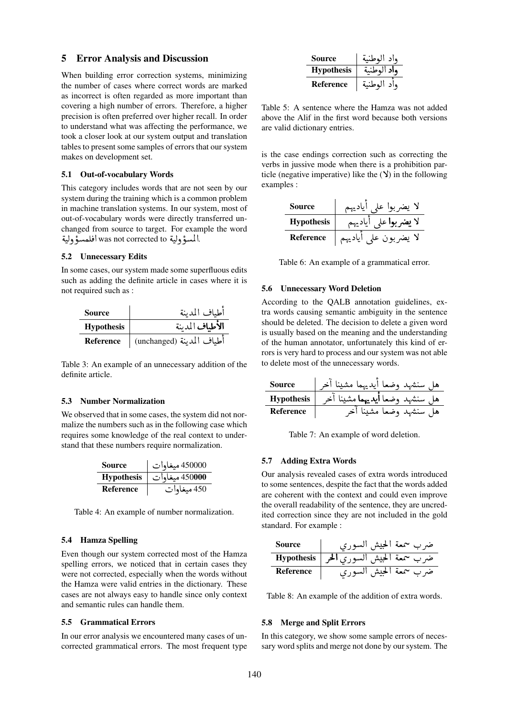#### 5 Error Analysis and Discussion

When building error correction systems, minimizing the number of cases where correct words are marked as incorrect is often regarded as more important than covering a high number of errors. Therefore, a higher precision is often preferred over higher recall. In order to understand what was affecting the performance, we took a closer look at our system output and translation tables to present some samples of errors that our system makes on development set.

#### 5.1 Out-of-vocabulary Words

This category includes words that are not seen by our system during the training which is a common problem in machine translation systems. In our system, most of out-of-vocabulary words were directly transferred unchanged from source to target. For example the word ۔<br>ة hanged Hom source to talgen 1 or okan.<br>السؤولية was not corrected to افلمسؤولية.  $\ddot{ }$  $\ddot{ }$ 

#### 5.2 Unnecessary Edits

In some cases, our system made some superfluous edits such as adding the definite article in cases where it is not required such as :

| Source            | أطباف المدينة             |
|-------------------|---------------------------|
| <b>Hypothesis</b> | الأطباف المدينة           |
| Reference         | أطياف المدينة (unchanged) |

Table 3: An example of an unnecessary addition of the definite article.

#### 5.3 Number Normalization

We observed that in some cases, the system did not normalize the numbers such as in the following case which requires some knowledge of the real context to understand that these numbers require normalization.

| Source            | 450000 ميغاوات |
|-------------------|----------------|
| <b>Hypothesis</b> | 450000 ميغاوات |
| Reference         | 450 ميغاوات    |

Table 4: An example of number normalization.

#### 5.4 Hamza Spelling

Even though our system corrected most of the Hamza spelling errors, we noticed that in certain cases they were not corrected, especially when the words without the Hamza were valid entries in the dictionary. These cases are not always easy to handle since only context and semantic rules can handle them.

#### 5.5 Grammatical Errors

In our error analysis we encountered many cases of uncorrected grammatical errors. The most frequent type

| Source            | واد الوطنية |
|-------------------|-------------|
| <b>Hypothesis</b> | ماد الوطنية |
| <b>Reference</b>  | واد الوط    |

Table 5: A sentence where the Hamza was not added above the Alif in the first word because both versions are valid dictionary entries.

is the case endings correction such as correcting the verbs in jussive mode when there is a prohibition particle (negative imperative) like the  $(Y)$  in the following examples :

| <b>Source</b>     | لا يضربوا علم |
|-------------------|---------------|
| <b>Hypothesis</b> | لا يضربوا علم |
| Reference         | لا يضربون علم |

Table 6: An example of a grammatical error.

#### 5.6 Unnecessary Word Deletion

According to the QALB annotation guidelines, extra words causing semantic ambiguity in the sentence should be deleted. The decision to delete a given word is usually based on the meaning and the understanding of the human annotator, unfortunately this kind of errors is very hard to process and our system was not able to delete most of the unnecessary words.

| <b>Source</b>     | هل سنشهد وضعا أيديهما مشينا آخر        |
|-------------------|----------------------------------------|
| <b>Hypothesis</b> | هل سنشهد وضعا <b>أيديهما</b> مشينا آخر |
| Reference         | هل سنشهد وضعا مشينا أخر                |

Table 7: An example of word deletion.

## 5.7 Adding Extra Words

Our analysis revealed cases of extra words introduced to some sentences, despite the fact that the words added are coherent with the context and could even improve the overall readability of the sentence, they are uncredited correction since they are not included in the gold standard. For example :

| <b>Source</b> | ضرب سمعة الحيش السوري                   |
|---------------|-----------------------------------------|
|               | ضرب سمعة الحيش السوري الحر   Hypothesis |
| Reference     | ضرب سمعة الحيش السوري                   |

Table 8: An example of the addition of extra words.

#### 5.8 Merge and Split Errors

In this category, we show some sample errors of necessary word splits and merge not done by our system. The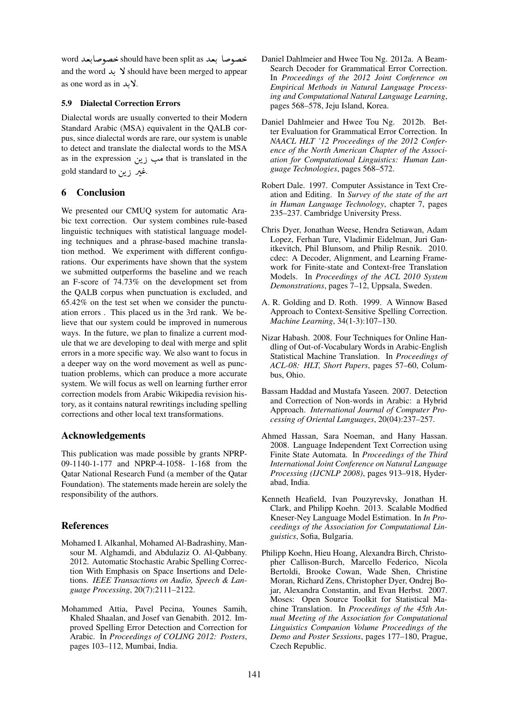word خصوصا بعد should have been split as خصوصابعد . . and the word  $\lambda$  Should have been merged to appear  $\alpha$ s one word as in  $\lambda$ .

## 5.9 Dialectal Correction Errors

Dialectal words are usually converted to their Modern Standard Arabic (MSA) equivalent in the QALB corpus, since dialectal words are rare, our system is unable to detect and translate the dialectal words to the MSA as in the expression مب زين that is translated in the  $\ddot{\cdot}$ .<br>غیر زین gold standard to <u>ب</u><br>.  $\ddot{\phantom{0}}$  

## 6 Conclusion

We presented our CMUQ system for automatic Arabic text correction. Our system combines rule-based linguistic techniques with statistical language modeling techniques and a phrase-based machine translation method. We experiment with different configurations. Our experiments have shown that the system we submitted outperforms the baseline and we reach an F-score of 74.73% on the development set from the QALB corpus when punctuation is excluded, and 65.42% on the test set when we consider the punctuation errors . This placed us in the 3rd rank. We believe that our system could be improved in numerous ways. In the future, we plan to finalize a current module that we are developing to deal with merge and split errors in a more specific way. We also want to focus in a deeper way on the word movement as well as punctuation problems, which can produce a more accurate system. We will focus as well on learning further error correction models from Arabic Wikipedia revision history, as it contains natural rewritings including spelling corrections and other local text transformations.

## Acknowledgements

This publication was made possible by grants NPRP-09-1140-1-177 and NPRP-4-1058- 1-168 from the Qatar National Research Fund (a member of the Qatar Foundation). The statements made herein are solely the responsibility of the authors.

## References

- Mohamed I. Alkanhal, Mohamed Al-Badrashiny, Mansour M. Alghamdi, and Abdulaziz O. Al-Qabbany. 2012. Automatic Stochastic Arabic Spelling Correction With Emphasis on Space Insertions and Deletions. *IEEE Transactions on Audio, Speech & Language Processing*, 20(7):2111–2122.
- Mohammed Attia, Pavel Pecina, Younes Samih, Khaled Shaalan, and Josef van Genabith. 2012. Improved Spelling Error Detection and Correction for Arabic. In *Proceedings of COLING 2012: Posters*, pages 103–112, Mumbai, India.
- Daniel Dahlmeier and Hwee Tou Ng. 2012a. A Beam-Search Decoder for Grammatical Error Correction. In *Proceedings of the 2012 Joint Conference on Empirical Methods in Natural Language Processing and Computational Natural Language Learning*, pages 568–578, Jeju Island, Korea.
- Daniel Dahlmeier and Hwee Tou Ng. 2012b. Better Evaluation for Grammatical Error Correction. In *NAACL HLT '12 Proceedings of the 2012 Conference of the North American Chapter of the Association for Computational Linguistics: Human Language Technologies*, pages 568–572.
- Robert Dale. 1997. Computer Assistance in Text Creation and Editing. In *Survey of the state of the art in Human Language Technology*, chapter 7, pages 235–237. Cambridge University Press.
- Chris Dyer, Jonathan Weese, Hendra Setiawan, Adam Lopez, Ferhan Ture, Vladimir Eidelman, Juri Ganitkevitch, Phil Blunsom, and Philip Resnik. 2010. cdec: A Decoder, Alignment, and Learning Framework for Finite-state and Context-free Translation Models. In *Proceedings of the ACL 2010 System Demonstrations*, pages 7–12, Uppsala, Sweden.
- A. R. Golding and D. Roth. 1999. A Winnow Based Approach to Context-Sensitive Spelling Correction. *Machine Learning*, 34(1-3):107–130.
- Nizar Habash. 2008. Four Techniques for Online Handling of Out-of-Vocabulary Words in Arabic-English Statistical Machine Translation. In *Proceedings of ACL-08: HLT, Short Papers*, pages 57–60, Columbus, Ohio.
- Bassam Haddad and Mustafa Yaseen. 2007. Detection and Correction of Non-words in Arabic: a Hybrid Approach. *International Journal of Computer Processing of Oriental Languages*, 20(04):237–257.
- Ahmed Hassan, Sara Noeman, and Hany Hassan. 2008. Language Independent Text Correction using Finite State Automata. In *Proceedings of the Third International Joint Conference on Natural Language Processing (IJCNLP 2008)*, pages 913–918, Hyderabad, India.
- Kenneth Heafield, Ivan Pouzyrevsky, Jonathan H. Clark, and Philipp Koehn. 2013. Scalable Modfied Kneser-Ney Language Model Estimation. In *In Proceedings of the Association for Computational Linguistics*, Sofia, Bulgaria.
- Philipp Koehn, Hieu Hoang, Alexandra Birch, Christopher Callison-Burch, Marcello Federico, Nicola Bertoldi, Brooke Cowan, Wade Shen, Christine Moran, Richard Zens, Christopher Dyer, Ondrej Bojar, Alexandra Constantin, and Evan Herbst. 2007. Moses: Open Source Toolkit for Statistical Machine Translation. In *Proceedings of the 45th Annual Meeting of the Association for Computational Linguistics Companion Volume Proceedings of the Demo and Poster Sessions*, pages 177–180, Prague, Czech Republic.